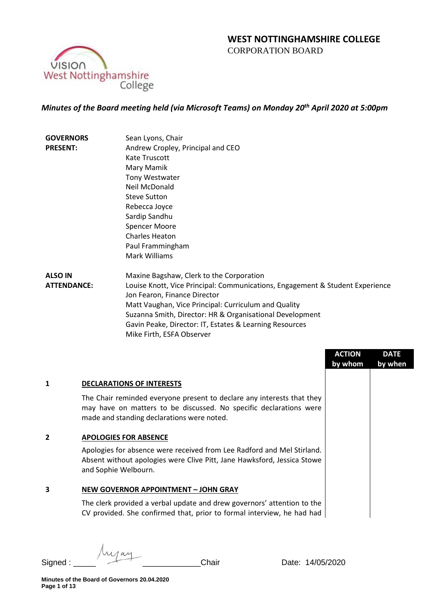# **WEST NOTTINGHAMSHIRE COLLEGE**  CORPORATION BOARD



# *Minutes of the Board meeting held (via Microsoft Teams) on Monday 20th April 2020 at 5:00pm*

| <b>GOVERNORS</b>   | Sean Lyons, Chair                                                             |
|--------------------|-------------------------------------------------------------------------------|
| <b>PRESENT:</b>    | Andrew Cropley, Principal and CEO                                             |
|                    | Kate Truscott                                                                 |
|                    | Mary Mamik                                                                    |
|                    | Tony Westwater                                                                |
|                    | Neil McDonald                                                                 |
|                    | <b>Steve Sutton</b>                                                           |
|                    | Rebecca Joyce                                                                 |
|                    | Sardip Sandhu                                                                 |
|                    | <b>Spencer Moore</b>                                                          |
|                    | <b>Charles Heaton</b>                                                         |
|                    | Paul Frammingham                                                              |
|                    | Mark Williams                                                                 |
| <b>ALSO IN</b>     | Maxine Bagshaw, Clerk to the Corporation                                      |
| <b>ATTENDANCE:</b> | Louise Knott, Vice Principal: Communications, Engagement & Student Experience |
|                    | Jon Fearon, Finance Director                                                  |
|                    | Matt Vaughan, Vice Principal: Curriculum and Quality                          |
|                    | Suzanna Smith, Director: HR & Organisational Development                      |
|                    | Gavin Peake, Director: IT, Estates & Learning Resources                       |
|                    | Mike Firth, ESFA Observer                                                     |

|   |                                                                                                                                                                                            | <b>ACTION</b><br>by whom | <b>DATE</b><br>by when |
|---|--------------------------------------------------------------------------------------------------------------------------------------------------------------------------------------------|--------------------------|------------------------|
| 1 | <b>DECLARATIONS OF INTERESTS</b>                                                                                                                                                           |                          |                        |
|   | The Chair reminded everyone present to declare any interests that they<br>may have on matters to be discussed. No specific declarations were<br>made and standing declarations were noted. |                          |                        |
| 2 | <b>APOLOGIES FOR ABSENCE</b>                                                                                                                                                               |                          |                        |
|   | Apologies for absence were received from Lee Radford and Mel Stirland.<br>Absent without apologies were Clive Pitt, Jane Hawksford, Jessica Stowe<br>and Sophie Welbourn.                  |                          |                        |
| 3 | <b>NEW GOVERNOR APPOINTMENT - JOHN GRAY</b>                                                                                                                                                |                          |                        |
|   | The clerk provided a verbal update and drew governors' attention to the<br>CV provided. She confirmed that, prior to formal interview, he had had                                          |                          |                        |
|   |                                                                                                                                                                                            |                          |                        |

Myay Signed : \_\_\_\_\_ \_\_\_\_\_\_\_\_\_\_\_\_\_Chair Date: 14/05/2020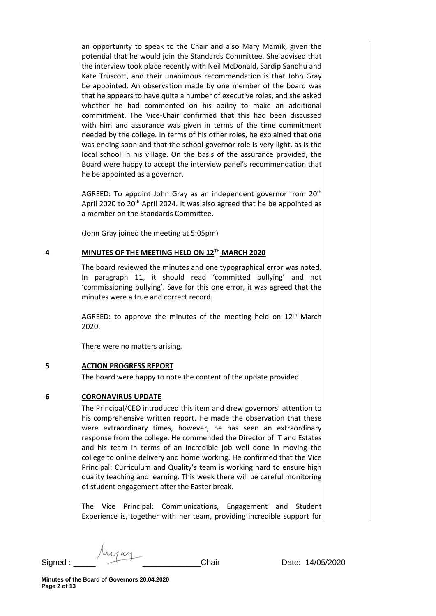an opportunity to speak to the Chair and also Mary Mamik, given the potential that he would join the Standards Committee. She advised that the interview took place recently with Neil McDonald, Sardip Sandhu and Kate Truscott, and their unanimous recommendation is that John Gray be appointed. An observation made by one member of the board was that he appears to have quite a number of executive roles, and she asked whether he had commented on his ability to make an additional commitment. The Vice-Chair confirmed that this had been discussed with him and assurance was given in terms of the time commitment needed by the college. In terms of his other roles, he explained that one was ending soon and that the school governor role is very light, as is the local school in his village. On the basis of the assurance provided, the Board were happy to accept the interview panel's recommendation that he be appointed as a governor.

AGREED: To appoint John Gray as an independent governor from 20<sup>th</sup> April 2020 to 20<sup>th</sup> April 2024. It was also agreed that he be appointed as a member on the Standards Committee.

(John Gray joined the meeting at 5:05pm)

## **4 MINUTES OF THE MEETING HELD ON 12TH MARCH 2020**

The board reviewed the minutes and one typographical error was noted. In paragraph 11, it should read 'committed bullying' and not 'commissioning bullying'. Save for this one error, it was agreed that the minutes were a true and correct record.

AGREED: to approve the minutes of the meeting held on  $12<sup>th</sup>$  March 2020.

There were no matters arising.

### **5 ACTION PROGRESS REPORT**

The board were happy to note the content of the update provided.

# **6 CORONAVIRUS UPDATE**

The Principal/CEO introduced this item and drew governors' attention to his comprehensive written report. He made the observation that these were extraordinary times, however, he has seen an extraordinary response from the college. He commended the Director of IT and Estates and his team in terms of an incredible job well done in moving the college to online delivery and home working. He confirmed that the Vice Principal: Curriculum and Quality's team is working hard to ensure high quality teaching and learning. This week there will be careful monitoring of student engagement after the Easter break.

The Vice Principal: Communications, Engagement and Student Experience is, together with her team, providing incredible support for

**Minutes of the Board of Governors 20.04.2020 Page 2 of 13**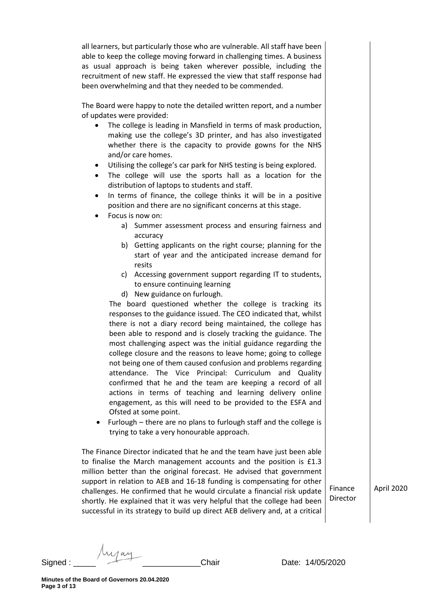all learners, but particularly those who are vulnerable. All staff have been able to keep the college moving forward in challenging times. A business as usual approach is being taken wherever possible, including the recruitment of new staff. He expressed the view that staff response had been overwhelming and that they needed to be commended.

The Board were happy to note the detailed written report, and a number of updates were provided:

- The college is leading in Mansfield in terms of mask production, making use the college's 3D printer, and has also investigated whether there is the capacity to provide gowns for the NHS and/or care homes.
- Utilising the college's car park for NHS testing is being explored.
- The college will use the sports hall as a location for the distribution of laptops to students and staff.
- In terms of finance, the college thinks it will be in a positive position and there are no significant concerns at this stage.
- Focus is now on:
	- a) Summer assessment process and ensuring fairness and accuracy
	- b) Getting applicants on the right course; planning for the start of year and the anticipated increase demand for resits
	- c) Accessing government support regarding IT to students, to ensure continuing learning
	- d) New guidance on furlough.

The board questioned whether the college is tracking its responses to the guidance issued. The CEO indicated that, whilst there is not a diary record being maintained, the college has been able to respond and is closely tracking the guidance. The most challenging aspect was the initial guidance regarding the college closure and the reasons to leave home; going to college not being one of them caused confusion and problems regarding attendance. The Vice Principal: Curriculum and Quality confirmed that he and the team are keeping a record of all actions in terms of teaching and learning delivery online engagement, as this will need to be provided to the ESFA and Ofsted at some point.

• Furlough – there are no plans to furlough staff and the college is trying to take a very honourable approach.

The Finance Director indicated that he and the team have just been able to finalise the March management accounts and the position is £1.3 million better than the original forecast. He advised that government support in relation to AEB and 16-18 funding is compensating for other challenges. He confirmed that he would circulate a financial risk update shortly. He explained that it was very helpful that the college had been successful in its strategy to build up direct AEB delivery and, at a critical

April 2020

Finance Director

Signed : The Signed : Chair Chair Date: 14/05/2020

**Minutes of the Board of Governors 20.04.2020 Page 3 of 13**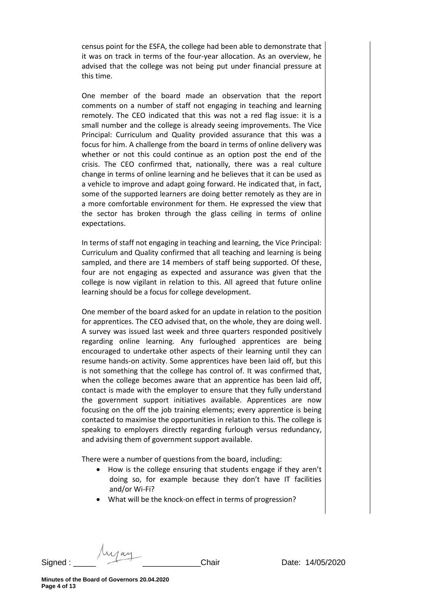census point for the ESFA, the college had been able to demonstrate that it was on track in terms of the four-year allocation. As an overview, he advised that the college was not being put under financial pressure at this time.

One member of the board made an observation that the report comments on a number of staff not engaging in teaching and learning remotely. The CEO indicated that this was not a red flag issue: it is a small number and the college is already seeing improvements. The Vice Principal: Curriculum and Quality provided assurance that this was a focus for him. A challenge from the board in terms of online delivery was whether or not this could continue as an option post the end of the crisis. The CEO confirmed that, nationally, there was a real culture change in terms of online learning and he believes that it can be used as a vehicle to improve and adapt going forward. He indicated that, in fact, some of the supported learners are doing better remotely as they are in a more comfortable environment for them. He expressed the view that the sector has broken through the glass ceiling in terms of online expectations.

In terms of staff not engaging in teaching and learning, the Vice Principal: Curriculum and Quality confirmed that all teaching and learning is being sampled, and there are 14 members of staff being supported. Of these, four are not engaging as expected and assurance was given that the college is now vigilant in relation to this. All agreed that future online learning should be a focus for college development.

One member of the board asked for an update in relation to the position for apprentices. The CEO advised that, on the whole, they are doing well. A survey was issued last week and three quarters responded positively regarding online learning. Any furloughed apprentices are being encouraged to undertake other aspects of their learning until they can resume hands-on activity. Some apprentices have been laid off, but this is not something that the college has control of. It was confirmed that, when the college becomes aware that an apprentice has been laid off, contact is made with the employer to ensure that they fully understand the government support initiatives available. Apprentices are now focusing on the off the job training elements; every apprentice is being contacted to maximise the opportunities in relation to this. The college is speaking to employers directly regarding furlough versus redundancy, and advising them of government support available.

There were a number of questions from the board, including:

- How is the college ensuring that students engage if they aren't doing so, for example because they don't have IT facilities and/or Wi-Fi?
- What will be the knock-on effect in terms of progression?

Signed : \_\_\_\_\_ \_\_\_\_\_\_\_\_\_\_\_\_\_Chair Date: 14/05/2020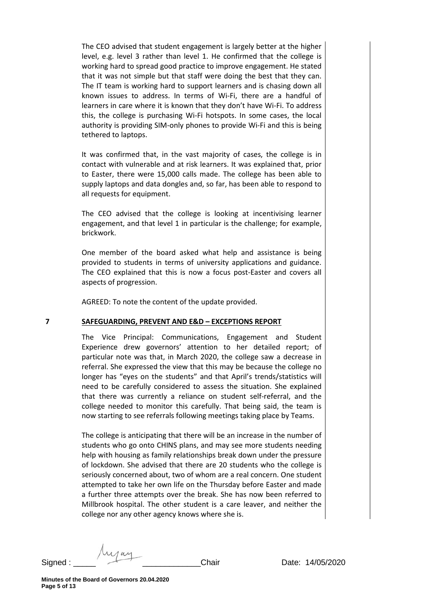The CEO advised that student engagement is largely better at the higher level, e.g. level 3 rather than level 1. He confirmed that the college is working hard to spread good practice to improve engagement. He stated that it was not simple but that staff were doing the best that they can. The IT team is working hard to support learners and is chasing down all known issues to address. In terms of Wi-Fi, there are a handful of learners in care where it is known that they don't have Wi-Fi. To address this, the college is purchasing Wi-Fi hotspots. In some cases, the local authority is providing SIM-only phones to provide Wi-Fi and this is being tethered to laptops.

It was confirmed that, in the vast majority of cases, the college is in contact with vulnerable and at risk learners. It was explained that, prior to Easter, there were 15,000 calls made. The college has been able to supply laptops and data dongles and, so far, has been able to respond to all requests for equipment.

The CEO advised that the college is looking at incentivising learner engagement, and that level 1 in particular is the challenge; for example, brickwork.

One member of the board asked what help and assistance is being provided to students in terms of university applications and guidance. The CEO explained that this is now a focus post-Easter and covers all aspects of progression.

AGREED: To note the content of the update provided.

### **7 SAFEGUARDING, PREVENT AND E&D – EXCEPTIONS REPORT**

The Vice Principal: Communications, Engagement and Student Experience drew governors' attention to her detailed report; of particular note was that, in March 2020, the college saw a decrease in referral. She expressed the view that this may be because the college no longer has "eyes on the students" and that April's trends/statistics will need to be carefully considered to assess the situation. She explained that there was currently a reliance on student self-referral, and the college needed to monitor this carefully. That being said, the team is now starting to see referrals following meetings taking place by Teams.

The college is anticipating that there will be an increase in the number of students who go onto CHINS plans, and may see more students needing help with housing as family relationships break down under the pressure of lockdown. She advised that there are 20 students who the college is seriously concerned about, two of whom are a real concern. One student attempted to take her own life on the Thursday before Easter and made a further three attempts over the break. She has now been referred to Millbrook hospital. The other student is a care leaver, and neither the college nor any other agency knows where she is.

Signed : \_\_\_\_\_ \_\_\_\_\_\_\_\_\_\_\_\_\_Chair Date: 14/05/2020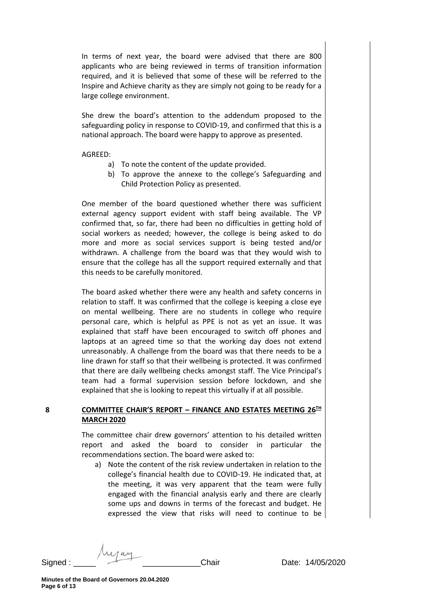In terms of next year, the board were advised that there are 800 applicants who are being reviewed in terms of transition information required, and it is believed that some of these will be referred to the Inspire and Achieve charity as they are simply not going to be ready for a large college environment.

She drew the board's attention to the addendum proposed to the safeguarding policy in response to COVID-19, and confirmed that this is a national approach. The board were happy to approve as presented.

### AGREED:

- a) To note the content of the update provided.
- b) To approve the annexe to the college's Safeguarding and Child Protection Policy as presented.

One member of the board questioned whether there was sufficient external agency support evident with staff being available. The VP confirmed that, so far, there had been no difficulties in getting hold of social workers as needed; however, the college is being asked to do more and more as social services support is being tested and/or withdrawn. A challenge from the board was that they would wish to ensure that the college has all the support required externally and that this needs to be carefully monitored.

The board asked whether there were any health and safety concerns in relation to staff. It was confirmed that the college is keeping a close eye on mental wellbeing. There are no students in college who require personal care, which is helpful as PPE is not as yet an issue. It was explained that staff have been encouraged to switch off phones and laptops at an agreed time so that the working day does not extend unreasonably. A challenge from the board was that there needs to be a line drawn for staff so that their wellbeing is protected. It was confirmed that there are daily wellbeing checks amongst staff. The Vice Principal's team had a formal supervision session before lockdown, and she explained that she is looking to repeat this virtually if at all possible.

## **8 COMMITTEE CHAIR'S REPORT – FINANCE AND ESTATES MEETING 26TH MARCH 2020**

The committee chair drew governors' attention to his detailed written report and asked the board to consider in particular the recommendations section. The board were asked to:

a) Note the content of the risk review undertaken in relation to the college's financial health due to COVID-19. He indicated that, at the meeting, it was very apparent that the team were fully engaged with the financial analysis early and there are clearly some ups and downs in terms of the forecast and budget. He expressed the view that risks will need to continue to be

Signed : \_\_\_\_\_ \_\_\_\_\_\_\_\_\_\_\_\_\_Chair Date: 14/05/2020

**Minutes of the Board of Governors 20.04.2020 Page 6 of 13**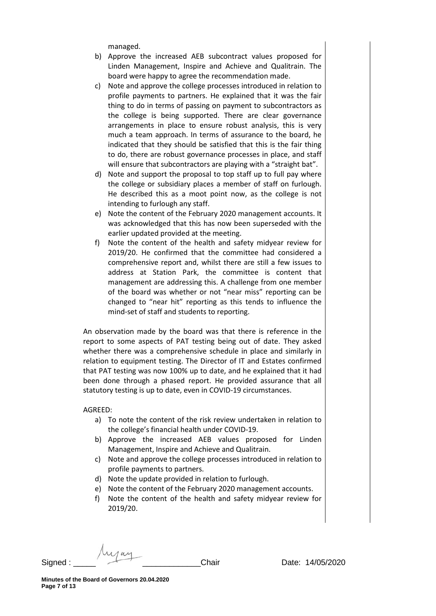managed.

- b) Approve the increased AEB subcontract values proposed for Linden Management, Inspire and Achieve and Qualitrain. The board were happy to agree the recommendation made.
- c) Note and approve the college processes introduced in relation to profile payments to partners. He explained that it was the fair thing to do in terms of passing on payment to subcontractors as the college is being supported. There are clear governance arrangements in place to ensure robust analysis, this is very much a team approach. In terms of assurance to the board, he indicated that they should be satisfied that this is the fair thing to do, there are robust governance processes in place, and staff will ensure that subcontractors are playing with a "straight bat".
- d) Note and support the proposal to top staff up to full pay where the college or subsidiary places a member of staff on furlough. He described this as a moot point now, as the college is not intending to furlough any staff.
- e) Note the content of the February 2020 management accounts. It was acknowledged that this has now been superseded with the earlier updated provided at the meeting.
- f) Note the content of the health and safety midyear review for 2019/20. He confirmed that the committee had considered a comprehensive report and, whilst there are still a few issues to address at Station Park, the committee is content that management are addressing this. A challenge from one member of the board was whether or not "near miss" reporting can be changed to "near hit" reporting as this tends to influence the mind-set of staff and students to reporting.

An observation made by the board was that there is reference in the report to some aspects of PAT testing being out of date. They asked whether there was a comprehensive schedule in place and similarly in relation to equipment testing. The Director of IT and Estates confirmed that PAT testing was now 100% up to date, and he explained that it had been done through a phased report. He provided assurance that all statutory testing is up to date, even in COVID-19 circumstances.

AGREED:

- a) To note the content of the risk review undertaken in relation to the college's financial health under COVID-19.
- b) Approve the increased AEB values proposed for Linden Management, Inspire and Achieve and Qualitrain.
- c) Note and approve the college processes introduced in relation to profile payments to partners.
- d) Note the update provided in relation to furlough.
- e) Note the content of the February 2020 management accounts.
- f) Note the content of the health and safety midyear review for 2019/20.

Signed : \_\_\_\_\_ \_\_\_\_\_\_\_\_\_\_\_\_\_Chair Date: 14/05/2020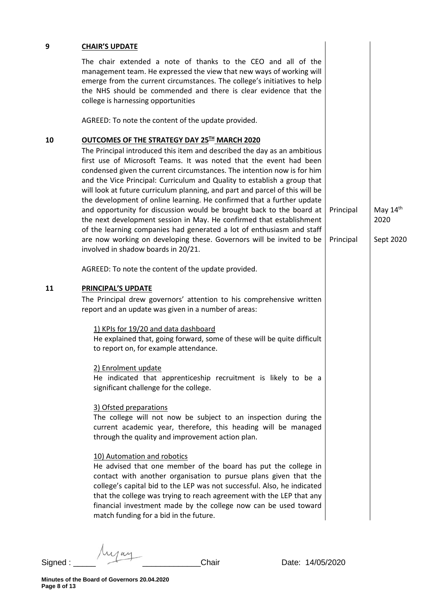| 9  | <b>CHAIR'S UPDATE</b>                                                                                                                                                                                                                                                                                                                                                                                                                                                                                                                                                                                                                                                                                                                                                                                                                                                                                                                                                                                                                                                                                     |                        |                                 |
|----|-----------------------------------------------------------------------------------------------------------------------------------------------------------------------------------------------------------------------------------------------------------------------------------------------------------------------------------------------------------------------------------------------------------------------------------------------------------------------------------------------------------------------------------------------------------------------------------------------------------------------------------------------------------------------------------------------------------------------------------------------------------------------------------------------------------------------------------------------------------------------------------------------------------------------------------------------------------------------------------------------------------------------------------------------------------------------------------------------------------|------------------------|---------------------------------|
|    | The chair extended a note of thanks to the CEO and all of the<br>management team. He expressed the view that new ways of working will<br>emerge from the current circumstances. The college's initiatives to help<br>the NHS should be commended and there is clear evidence that the<br>college is harnessing opportunities                                                                                                                                                                                                                                                                                                                                                                                                                                                                                                                                                                                                                                                                                                                                                                              |                        |                                 |
|    | AGREED: To note the content of the update provided.                                                                                                                                                                                                                                                                                                                                                                                                                                                                                                                                                                                                                                                                                                                                                                                                                                                                                                                                                                                                                                                       |                        |                                 |
| 10 | OUTCOMES OF THE STRATEGY DAY 25TH MARCH 2020<br>The Principal introduced this item and described the day as an ambitious<br>first use of Microsoft Teams. It was noted that the event had been<br>condensed given the current circumstances. The intention now is for him<br>and the Vice Principal: Curriculum and Quality to establish a group that<br>will look at future curriculum planning, and part and parcel of this will be<br>the development of online learning. He confirmed that a further update<br>and opportunity for discussion would be brought back to the board at<br>the next development session in May. He confirmed that establishment<br>of the learning companies had generated a lot of enthusiasm and staff<br>are now working on developing these. Governors will be invited to be<br>involved in shadow boards in 20/21.                                                                                                                                                                                                                                                   | Principal<br>Principal | May $14th$<br>2020<br>Sept 2020 |
|    | AGREED: To note the content of the update provided.                                                                                                                                                                                                                                                                                                                                                                                                                                                                                                                                                                                                                                                                                                                                                                                                                                                                                                                                                                                                                                                       |                        |                                 |
| 11 | PRINCIPAL'S UPDATE<br>The Principal drew governors' attention to his comprehensive written<br>report and an update was given in a number of areas:<br>1) KPIs for 19/20 and data dashboard<br>He explained that, going forward, some of these will be quite difficult<br>to report on, for example attendance.<br>2) Enrolment update<br>He indicated that apprenticeship recruitment is likely to be a<br>significant challenge for the college.<br>3) Ofsted preparations<br>The college will not now be subject to an inspection during the<br>current academic year, therefore, this heading will be managed<br>through the quality and improvement action plan.<br>10) Automation and robotics<br>He advised that one member of the board has put the college in<br>contact with another organisation to pursue plans given that the<br>college's capital bid to the LEP was not successful. Also, he indicated<br>that the college was trying to reach agreement with the LEP that any<br>financial investment made by the college now can be used toward<br>match funding for a bid in the future. |                        |                                 |

Signed : \_\_\_\_\_ \_\_\_\_\_\_\_\_\_\_\_\_\_Chair Date: 14/05/2020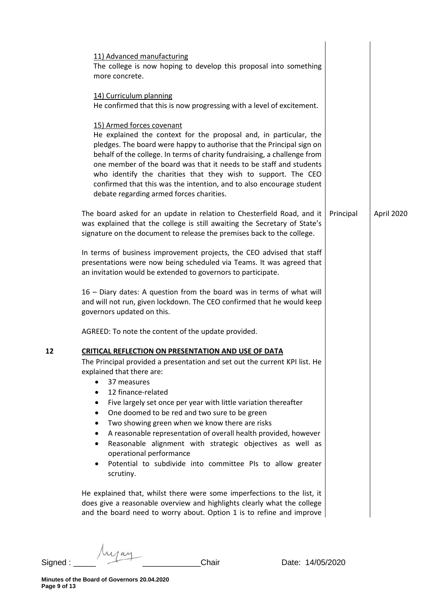|    | 11) Advanced manufacturing<br>The college is now hoping to develop this proposal into something<br>more concrete.                                                                                                                                                                                                                                                                                                                                                                                                                                                                                                                                                                            |           |            |
|----|----------------------------------------------------------------------------------------------------------------------------------------------------------------------------------------------------------------------------------------------------------------------------------------------------------------------------------------------------------------------------------------------------------------------------------------------------------------------------------------------------------------------------------------------------------------------------------------------------------------------------------------------------------------------------------------------|-----------|------------|
|    | 14) Curriculum planning<br>He confirmed that this is now progressing with a level of excitement.                                                                                                                                                                                                                                                                                                                                                                                                                                                                                                                                                                                             |           |            |
|    | 15) Armed forces covenant<br>He explained the context for the proposal and, in particular, the<br>pledges. The board were happy to authorise that the Principal sign on<br>behalf of the college. In terms of charity fundraising, a challenge from<br>one member of the board was that it needs to be staff and students<br>who identify the charities that they wish to support. The CEO<br>confirmed that this was the intention, and to also encourage student<br>debate regarding armed forces charities.                                                                                                                                                                               |           |            |
|    | The board asked for an update in relation to Chesterfield Road, and it<br>was explained that the college is still awaiting the Secretary of State's<br>signature on the document to release the premises back to the college.                                                                                                                                                                                                                                                                                                                                                                                                                                                                | Principal | April 2020 |
|    | In terms of business improvement projects, the CEO advised that staff<br>presentations were now being scheduled via Teams. It was agreed that<br>an invitation would be extended to governors to participate.                                                                                                                                                                                                                                                                                                                                                                                                                                                                                |           |            |
|    | 16 - Diary dates: A question from the board was in terms of what will<br>and will not run, given lockdown. The CEO confirmed that he would keep<br>governors updated on this.                                                                                                                                                                                                                                                                                                                                                                                                                                                                                                                |           |            |
|    | AGREED: To note the content of the update provided.                                                                                                                                                                                                                                                                                                                                                                                                                                                                                                                                                                                                                                          |           |            |
| 12 | <b>CRITICAL REFLECTION ON PRESENTATION AND USE OF DATA</b><br>The Principal provided a presentation and set out the current KPI list. He<br>explained that there are:<br>37 measures<br>12 finance-related<br>Five largely set once per year with little variation thereafter<br>$\bullet$<br>One doomed to be red and two sure to be green<br>$\bullet$<br>Two showing green when we know there are risks<br>$\bullet$<br>A reasonable representation of overall health provided, however<br>٠<br>Reasonable alignment with strategic objectives as well as<br>$\bullet$<br>operational performance<br>Potential to subdivide into committee PIs to allow greater<br>$\bullet$<br>scrutiny. |           |            |
|    | He explained that, whilst there were some imperfections to the list, it<br>does give a reasonable overview and highlights clearly what the college<br>and the board need to worry about. Option 1 is to refine and improve                                                                                                                                                                                                                                                                                                                                                                                                                                                                   |           |            |
|    |                                                                                                                                                                                                                                                                                                                                                                                                                                                                                                                                                                                                                                                                                              |           |            |

Signed : \_\_\_\_\_ \_\_\_\_\_\_\_\_\_\_\_\_\_Chair Date: 14/05/2020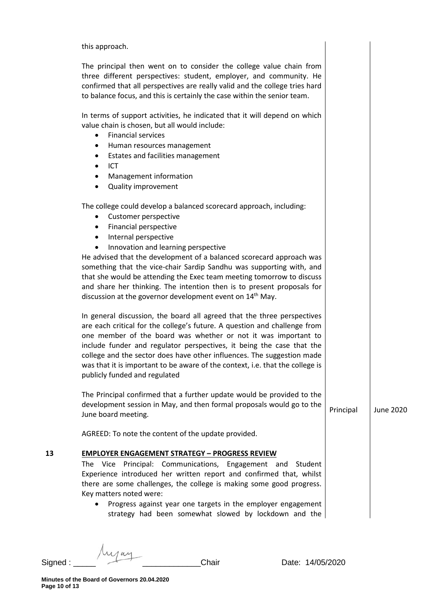|    | this approach.                                                                                                                                                                                                                                                                                                                                                                                                                                                                                                                                                                              |           |                  |
|----|---------------------------------------------------------------------------------------------------------------------------------------------------------------------------------------------------------------------------------------------------------------------------------------------------------------------------------------------------------------------------------------------------------------------------------------------------------------------------------------------------------------------------------------------------------------------------------------------|-----------|------------------|
|    | The principal then went on to consider the college value chain from<br>three different perspectives: student, employer, and community. He<br>confirmed that all perspectives are really valid and the college tries hard<br>to balance focus, and this is certainly the case within the senior team.                                                                                                                                                                                                                                                                                        |           |                  |
|    | In terms of support activities, he indicated that it will depend on which<br>value chain is chosen, but all would include:<br><b>Financial services</b><br>$\bullet$<br>Human resources management<br>٠<br>Estates and facilities management<br>٠<br>ICT<br>$\bullet$<br>Management information<br>$\bullet$                                                                                                                                                                                                                                                                                |           |                  |
|    | <b>Quality improvement</b><br>$\bullet$                                                                                                                                                                                                                                                                                                                                                                                                                                                                                                                                                     |           |                  |
|    | The college could develop a balanced scorecard approach, including:<br>Customer perspective<br>٠<br>Financial perspective<br>٠<br>Internal perspective<br>$\bullet$<br>Innovation and learning perspective<br>٠<br>He advised that the development of a balanced scorecard approach was<br>something that the vice-chair Sardip Sandhu was supporting with, and<br>that she would be attending the Exec team meeting tomorrow to discuss<br>and share her thinking. The intention then is to present proposals for<br>discussion at the governor development event on 14 <sup>th</sup> May. |           |                  |
|    | In general discussion, the board all agreed that the three perspectives<br>are each critical for the college's future. A question and challenge from<br>one member of the board was whether or not it was important to<br>include funder and regulator perspectives, it being the case that the<br>college and the sector does have other influences. The suggestion made<br>was that it is important to be aware of the context, i.e. that the college is<br>publicly funded and regulated                                                                                                 |           |                  |
|    | The Principal confirmed that a further update would be provided to the<br>development session in May, and then formal proposals would go to the<br>June board meeting.                                                                                                                                                                                                                                                                                                                                                                                                                      | Principal | <b>June 2020</b> |
|    | AGREED: To note the content of the update provided.                                                                                                                                                                                                                                                                                                                                                                                                                                                                                                                                         |           |                  |
| 13 | <b>EMPLOYER ENGAGEMENT STRATEGY - PROGRESS REVIEW</b><br>The Vice Principal: Communications, Engagement and<br>Student<br>Experience introduced her written report and confirmed that, whilst<br>there are some challenges, the college is making some good progress.<br>Key matters noted were:<br>Progress against year one targets in the employer engagement<br>$\bullet$<br>strategy had been somewhat slowed by lockdown and the                                                                                                                                                      |           |                  |
|    |                                                                                                                                                                                                                                                                                                                                                                                                                                                                                                                                                                                             |           |                  |

Myay Signed : \_\_\_\_\_ \_\_\_\_\_\_\_\_\_\_\_\_\_Chair Date: 14/05/2020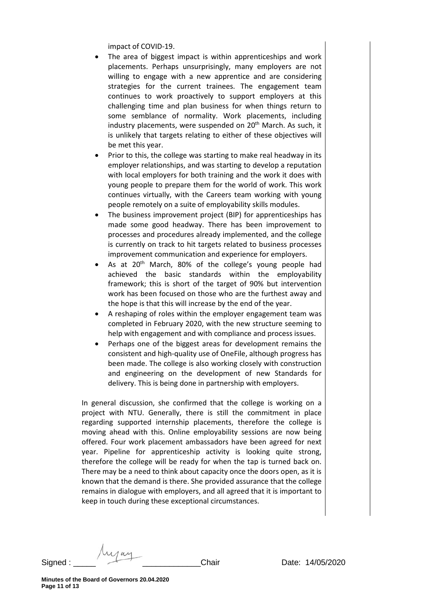impact of COVID-19.

- The area of biggest impact is within apprenticeships and work placements. Perhaps unsurprisingly, many employers are not willing to engage with a new apprentice and are considering strategies for the current trainees. The engagement team continues to work proactively to support employers at this challenging time and plan business for when things return to some semblance of normality. Work placements, including industry placements, were suspended on  $20<sup>th</sup>$  March. As such, it is unlikely that targets relating to either of these objectives will be met this year.
- Prior to this, the college was starting to make real headway in its employer relationships, and was starting to develop a reputation with local employers for both training and the work it does with young people to prepare them for the world of work. This work continues virtually, with the Careers team working with young people remotely on a suite of employability skills modules.
- The business improvement project (BIP) for apprenticeships has made some good headway. There has been improvement to processes and procedures already implemented, and the college is currently on track to hit targets related to business processes improvement communication and experience for employers.
- As at 20<sup>th</sup> March, 80% of the college's young people had achieved the basic standards within the employability framework; this is short of the target of 90% but intervention work has been focused on those who are the furthest away and the hope is that this will increase by the end of the year.
- A reshaping of roles within the employer engagement team was completed in February 2020, with the new structure seeming to help with engagement and with compliance and process issues.
- Perhaps one of the biggest areas for development remains the consistent and high-quality use of OneFile, although progress has been made. The college is also working closely with construction and engineering on the development of new Standards for delivery. This is being done in partnership with employers.

In general discussion, she confirmed that the college is working on a project with NTU. Generally, there is still the commitment in place regarding supported internship placements, therefore the college is moving ahead with this. Online employability sessions are now being offered. Four work placement ambassadors have been agreed for next year. Pipeline for apprenticeship activity is looking quite strong, therefore the college will be ready for when the tap is turned back on. There may be a need to think about capacity once the doors open, as it is known that the demand is there. She provided assurance that the college remains in dialogue with employers, and all agreed that it is important to keep in touch during these exceptional circumstances.

Signed : \_\_\_\_\_ \_\_\_\_\_\_\_\_\_\_\_\_\_Chair Date: 14/05/2020

**Minutes of the Board of Governors 20.04.2020 Page 11 of 13**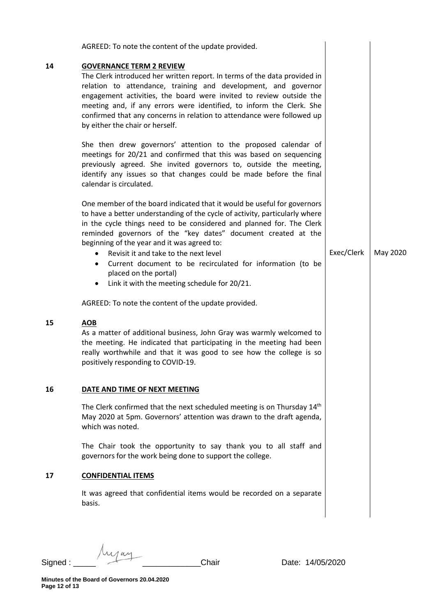| AGREED: To note the content of the update provided.<br><b>GOVERNANCE TERM 2 REVIEW</b><br>The Clerk introduced her written report. In terms of the data provided in<br>relation to attendance, training and development, and governor<br>engagement activities, the board were invited to review outside the<br>meeting and, if any errors were identified, to inform the Clerk. She<br>confirmed that any concerns in relation to attendance were followed up<br>by either the chair or herself.<br>She then drew governors' attention to the proposed calendar of<br>meetings for 20/21 and confirmed that this was based on sequencing<br>previously agreed. She invited governors to, outside the meeting,<br>identify any issues so that changes could be made before the final<br>calendar is circulated.<br>One member of the board indicated that it would be useful for governors<br>to have a better understanding of the cycle of activity, particularly where<br>in the cycle things need to be considered and planned for. The Clerk<br>reminded governors of the "key dates" document created at the<br>beginning of the year and it was agreed to: |                                                                       |          |
|-------------------------------------------------------------------------------------------------------------------------------------------------------------------------------------------------------------------------------------------------------------------------------------------------------------------------------------------------------------------------------------------------------------------------------------------------------------------------------------------------------------------------------------------------------------------------------------------------------------------------------------------------------------------------------------------------------------------------------------------------------------------------------------------------------------------------------------------------------------------------------------------------------------------------------------------------------------------------------------------------------------------------------------------------------------------------------------------------------------------------------------------------------------------|-----------------------------------------------------------------------|----------|
|                                                                                                                                                                                                                                                                                                                                                                                                                                                                                                                                                                                                                                                                                                                                                                                                                                                                                                                                                                                                                                                                                                                                                                   |                                                                       |          |
|                                                                                                                                                                                                                                                                                                                                                                                                                                                                                                                                                                                                                                                                                                                                                                                                                                                                                                                                                                                                                                                                                                                                                                   |                                                                       |          |
|                                                                                                                                                                                                                                                                                                                                                                                                                                                                                                                                                                                                                                                                                                                                                                                                                                                                                                                                                                                                                                                                                                                                                                   |                                                                       |          |
| Revisit it and take to the next level<br>$\bullet$<br>Current document to be recirculated for information (to be<br>$\bullet$<br>placed on the portal)<br>Link it with the meeting schedule for 20/21.<br>٠                                                                                                                                                                                                                                                                                                                                                                                                                                                                                                                                                                                                                                                                                                                                                                                                                                                                                                                                                       | Exec/Clerk                                                            | May 2020 |
| AGREED: To note the content of the update provided.                                                                                                                                                                                                                                                                                                                                                                                                                                                                                                                                                                                                                                                                                                                                                                                                                                                                                                                                                                                                                                                                                                               |                                                                       |          |
| <b>AOB</b><br>As a matter of additional business, John Gray was warmly welcomed to<br>the meeting. He indicated that participating in the meeting had been<br>really worthwhile and that it was good to see how the college is so<br>positively responding to COVID-19.                                                                                                                                                                                                                                                                                                                                                                                                                                                                                                                                                                                                                                                                                                                                                                                                                                                                                           |                                                                       |          |
| DATE AND TIME OF NEXT MEETING                                                                                                                                                                                                                                                                                                                                                                                                                                                                                                                                                                                                                                                                                                                                                                                                                                                                                                                                                                                                                                                                                                                                     |                                                                       |          |
| The Clerk confirmed that the next scheduled meeting is on Thursday 14 <sup>th</sup><br>May 2020 at 5pm. Governors' attention was drawn to the draft agenda,<br>which was noted.                                                                                                                                                                                                                                                                                                                                                                                                                                                                                                                                                                                                                                                                                                                                                                                                                                                                                                                                                                                   |                                                                       |          |
| The Chair took the opportunity to say thank you to all staff and<br>governors for the work being done to support the college.                                                                                                                                                                                                                                                                                                                                                                                                                                                                                                                                                                                                                                                                                                                                                                                                                                                                                                                                                                                                                                     |                                                                       |          |
|                                                                                                                                                                                                                                                                                                                                                                                                                                                                                                                                                                                                                                                                                                                                                                                                                                                                                                                                                                                                                                                                                                                                                                   |                                                                       |          |
| <b>CONFIDENTIAL ITEMS</b>                                                                                                                                                                                                                                                                                                                                                                                                                                                                                                                                                                                                                                                                                                                                                                                                                                                                                                                                                                                                                                                                                                                                         |                                                                       |          |
|                                                                                                                                                                                                                                                                                                                                                                                                                                                                                                                                                                                                                                                                                                                                                                                                                                                                                                                                                                                                                                                                                                                                                                   | It was agreed that confidential items would be recorded on a separate | basis.   |

Signed : \_\_\_\_\_ \_\_\_\_\_\_\_\_\_\_\_\_\_Chair Date: 14/05/2020